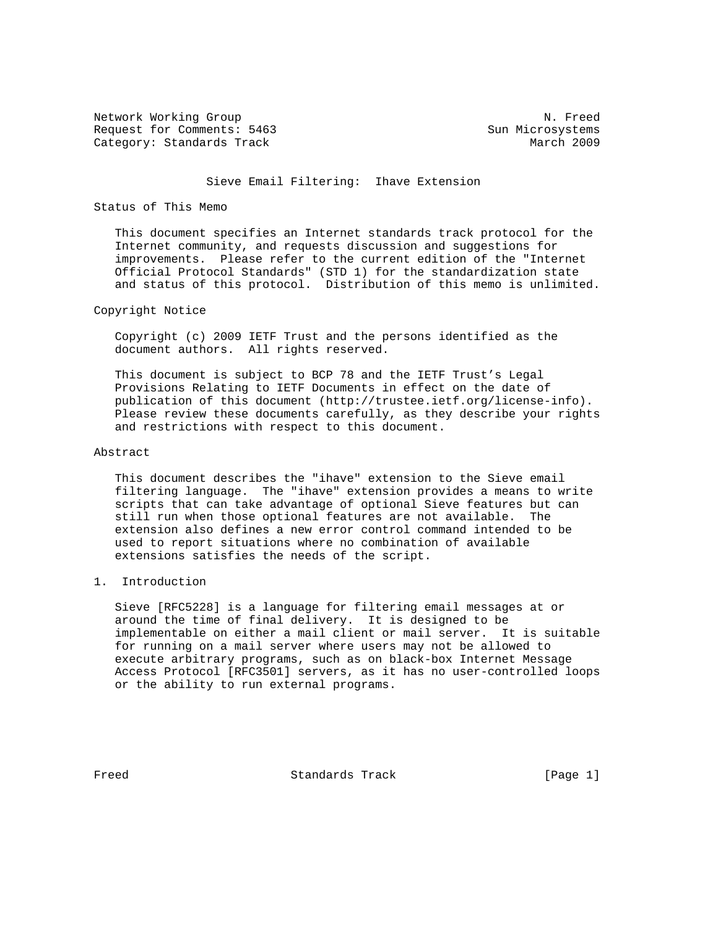Network Working Group Network Working Group Network Network Network Network Network Network Network Network Ne Request for Comments: 5463 Sun Microsystems Category: Standards Track March 2009

### Sieve Email Filtering: Ihave Extension

## Status of This Memo

 This document specifies an Internet standards track protocol for the Internet community, and requests discussion and suggestions for improvements. Please refer to the current edition of the "Internet Official Protocol Standards" (STD 1) for the standardization state and status of this protocol. Distribution of this memo is unlimited.

## Copyright Notice

 Copyright (c) 2009 IETF Trust and the persons identified as the document authors. All rights reserved.

 This document is subject to BCP 78 and the IETF Trust's Legal Provisions Relating to IETF Documents in effect on the date of publication of this document (http://trustee.ietf.org/license-info). Please review these documents carefully, as they describe your rights and restrictions with respect to this document.

## Abstract

 This document describes the "ihave" extension to the Sieve email filtering language. The "ihave" extension provides a means to write scripts that can take advantage of optional Sieve features but can still run when those optional features are not available. The extension also defines a new error control command intended to be used to report situations where no combination of available extensions satisfies the needs of the script.

# 1. Introduction

 Sieve [RFC5228] is a language for filtering email messages at or around the time of final delivery. It is designed to be implementable on either a mail client or mail server. It is suitable for running on a mail server where users may not be allowed to execute arbitrary programs, such as on black-box Internet Message Access Protocol [RFC3501] servers, as it has no user-controlled loops or the ability to run external programs.

Freed Standards Track [Page 1]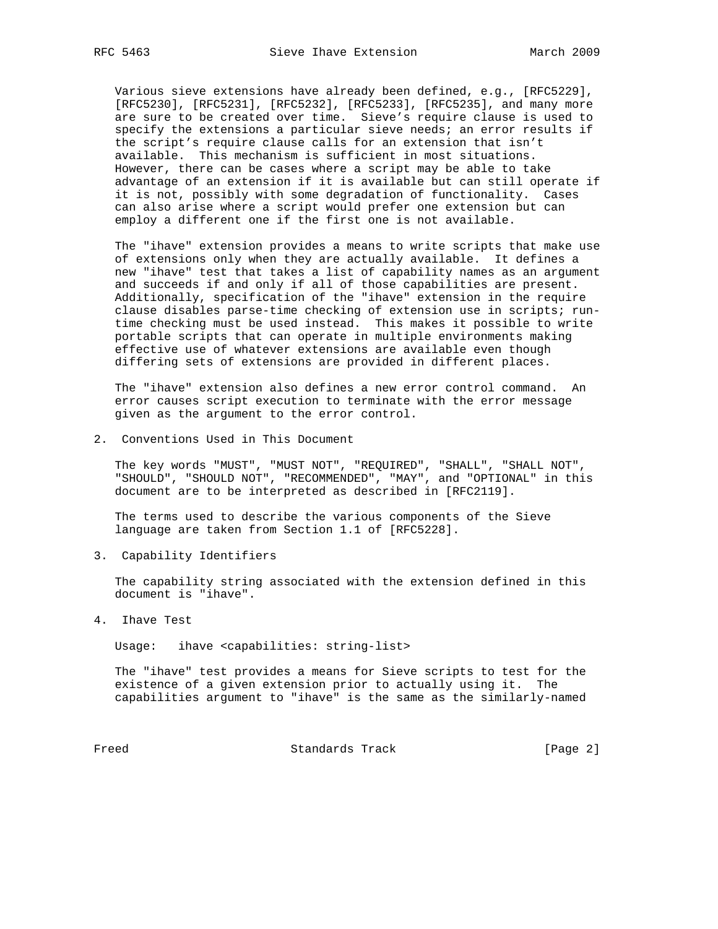Various sieve extensions have already been defined, e.g., [RFC5229], [RFC5230], [RFC5231], [RFC5232], [RFC5233], [RFC5235], and many more are sure to be created over time. Sieve's require clause is used to specify the extensions a particular sieve needs; an error results if the script's require clause calls for an extension that isn't available. This mechanism is sufficient in most situations. However, there can be cases where a script may be able to take advantage of an extension if it is available but can still operate if it is not, possibly with some degradation of functionality. Cases can also arise where a script would prefer one extension but can employ a different one if the first one is not available.

 The "ihave" extension provides a means to write scripts that make use of extensions only when they are actually available. It defines a new "ihave" test that takes a list of capability names as an argument and succeeds if and only if all of those capabilities are present. Additionally, specification of the "ihave" extension in the require clause disables parse-time checking of extension use in scripts; run time checking must be used instead. This makes it possible to write portable scripts that can operate in multiple environments making effective use of whatever extensions are available even though differing sets of extensions are provided in different places.

 The "ihave" extension also defines a new error control command. An error causes script execution to terminate with the error message given as the argument to the error control.

2. Conventions Used in This Document

 The key words "MUST", "MUST NOT", "REQUIRED", "SHALL", "SHALL NOT", "SHOULD", "SHOULD NOT", "RECOMMENDED", "MAY", and "OPTIONAL" in this document are to be interpreted as described in [RFC2119].

 The terms used to describe the various components of the Sieve language are taken from Section 1.1 of [RFC5228].

3. Capability Identifiers

 The capability string associated with the extension defined in this document is "ihave".

4. Ihave Test

Usage: ihave <capabilities: string-list>

 The "ihave" test provides a means for Sieve scripts to test for the existence of a given extension prior to actually using it. The capabilities argument to "ihave" is the same as the similarly-named

Freed Standards Track [Page 2]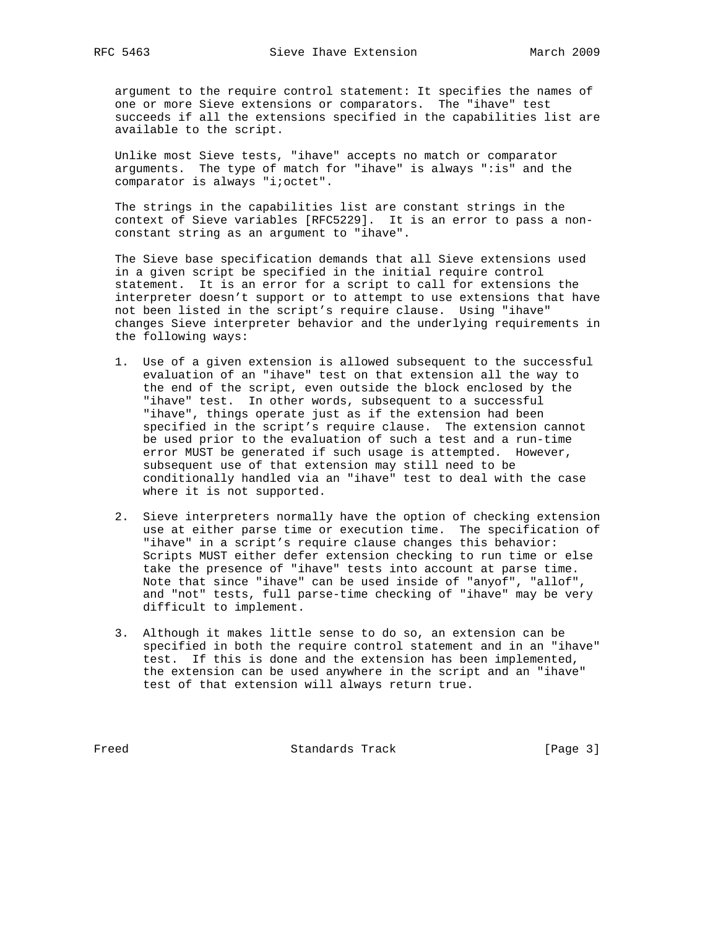argument to the require control statement: It specifies the names of one or more Sieve extensions or comparators. The "ihave" test succeeds if all the extensions specified in the capabilities list are available to the script.

 Unlike most Sieve tests, "ihave" accepts no match or comparator arguments. The type of match for "ihave" is always ":is" and the comparator is always "i;octet".

 The strings in the capabilities list are constant strings in the context of Sieve variables [RFC5229]. It is an error to pass a non constant string as an argument to "ihave".

 The Sieve base specification demands that all Sieve extensions used in a given script be specified in the initial require control statement. It is an error for a script to call for extensions the interpreter doesn't support or to attempt to use extensions that have not been listed in the script's require clause. Using "ihave" changes Sieve interpreter behavior and the underlying requirements in the following ways:

- 1. Use of a given extension is allowed subsequent to the successful evaluation of an "ihave" test on that extension all the way to the end of the script, even outside the block enclosed by the "ihave" test. In other words, subsequent to a successful "ihave", things operate just as if the extension had been specified in the script's require clause. The extension cannot be used prior to the evaluation of such a test and a run-time error MUST be generated if such usage is attempted. However, subsequent use of that extension may still need to be conditionally handled via an "ihave" test to deal with the case where it is not supported.
- 2. Sieve interpreters normally have the option of checking extension use at either parse time or execution time. The specification of "ihave" in a script's require clause changes this behavior: Scripts MUST either defer extension checking to run time or else take the presence of "ihave" tests into account at parse time. Note that since "ihave" can be used inside of "anyof", "allof", and "not" tests, full parse-time checking of "ihave" may be very difficult to implement.
	- 3. Although it makes little sense to do so, an extension can be specified in both the require control statement and in an "ihave" test. If this is done and the extension has been implemented, the extension can be used anywhere in the script and an "ihave" test of that extension will always return true.

Freed Standards Track [Page 3]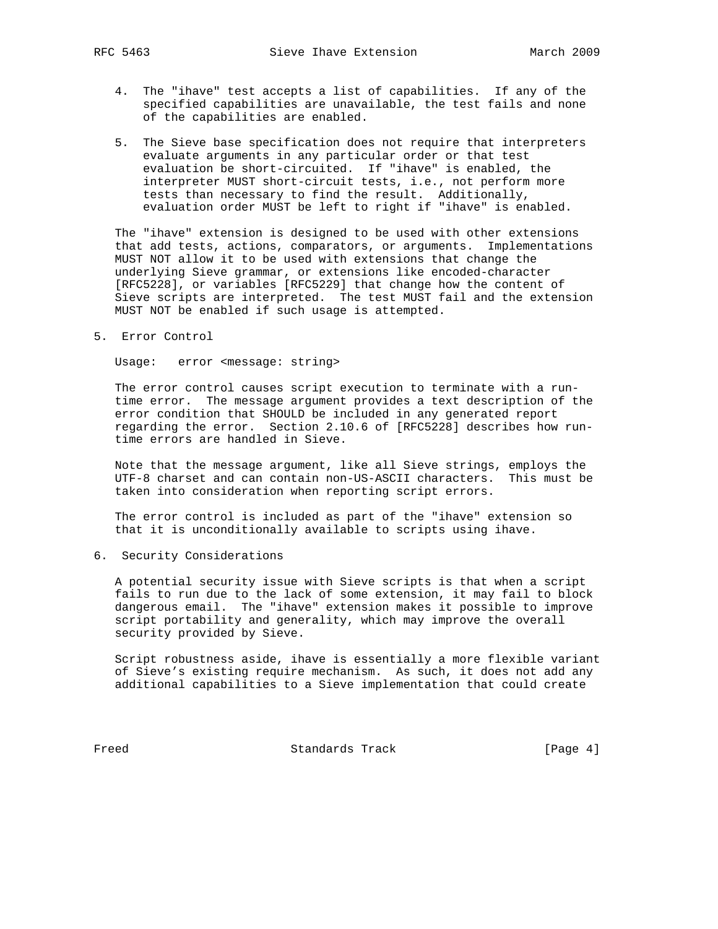- 4. The "ihave" test accepts a list of capabilities. If any of the specified capabilities are unavailable, the test fails and none of the capabilities are enabled.
- 5. The Sieve base specification does not require that interpreters evaluate arguments in any particular order or that test evaluation be short-circuited. If "ihave" is enabled, the interpreter MUST short-circuit tests, i.e., not perform more tests than necessary to find the result. Additionally, evaluation order MUST be left to right if "ihave" is enabled.

 The "ihave" extension is designed to be used with other extensions that add tests, actions, comparators, or arguments. Implementations MUST NOT allow it to be used with extensions that change the underlying Sieve grammar, or extensions like encoded-character [RFC5228], or variables [RFC5229] that change how the content of Sieve scripts are interpreted. The test MUST fail and the extension MUST NOT be enabled if such usage is attempted.

5. Error Control

Usage: error <message: string>

 The error control causes script execution to terminate with a run time error. The message argument provides a text description of the error condition that SHOULD be included in any generated report regarding the error. Section 2.10.6 of [RFC5228] describes how run time errors are handled in Sieve.

 Note that the message argument, like all Sieve strings, employs the UTF-8 charset and can contain non-US-ASCII characters. This must be taken into consideration when reporting script errors.

 The error control is included as part of the "ihave" extension so that it is unconditionally available to scripts using ihave.

6. Security Considerations

 A potential security issue with Sieve scripts is that when a script fails to run due to the lack of some extension, it may fail to block dangerous email. The "ihave" extension makes it possible to improve script portability and generality, which may improve the overall security provided by Sieve.

 Script robustness aside, ihave is essentially a more flexible variant of Sieve's existing require mechanism. As such, it does not add any additional capabilities to a Sieve implementation that could create

Freed Standards Track [Page 4]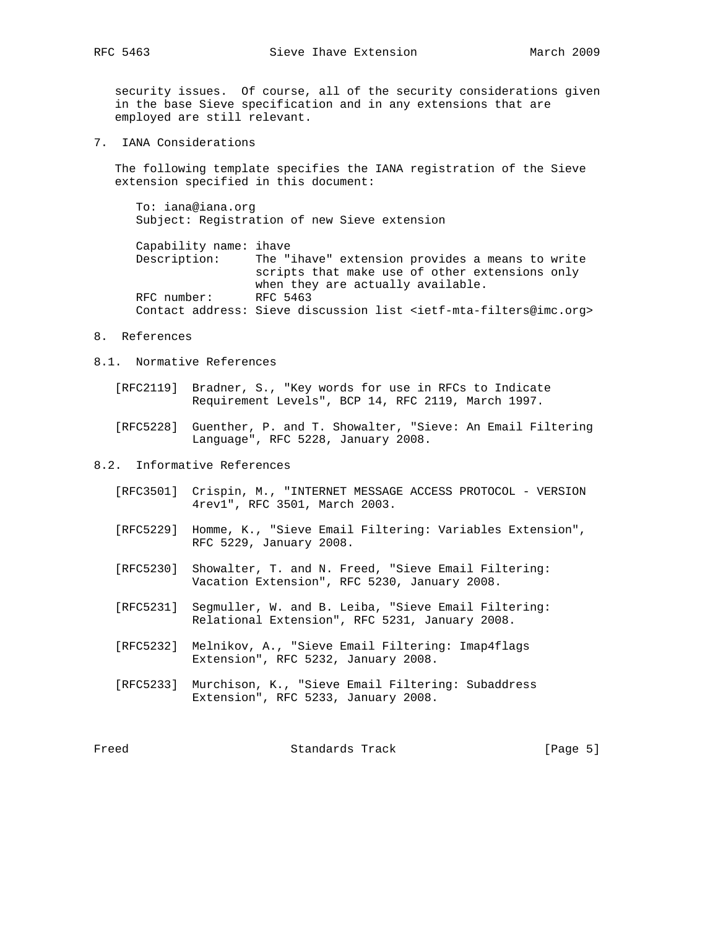security issues. Of course, all of the security considerations given in the base Sieve specification and in any extensions that are employed are still relevant.

7. IANA Considerations

 The following template specifies the IANA registration of the Sieve extension specified in this document:

 To: iana@iana.org Subject: Registration of new Sieve extension

 Capability name: ihave Description: The "ihave" extension provides a means to write scripts that make use of other extensions only when they are actually available. RFC number: RFC 5463 Contact address: Sieve discussion list <ietf-mta-filters@imc.org>

#### 8. References

8.1. Normative References

 [RFC2119] Bradner, S., "Key words for use in RFCs to Indicate Requirement Levels", BCP 14, RFC 2119, March 1997.

 [RFC5228] Guenther, P. and T. Showalter, "Sieve: An Email Filtering Language", RFC 5228, January 2008.

## 8.2. Informative References

- [RFC3501] Crispin, M., "INTERNET MESSAGE ACCESS PROTOCOL VERSION 4rev1", RFC 3501, March 2003.
- [RFC5229] Homme, K., "Sieve Email Filtering: Variables Extension", RFC 5229, January 2008.
- [RFC5230] Showalter, T. and N. Freed, "Sieve Email Filtering: Vacation Extension", RFC 5230, January 2008.
- [RFC5231] Segmuller, W. and B. Leiba, "Sieve Email Filtering: Relational Extension", RFC 5231, January 2008.
- [RFC5232] Melnikov, A., "Sieve Email Filtering: Imap4flags Extension", RFC 5232, January 2008.
- [RFC5233] Murchison, K., "Sieve Email Filtering: Subaddress Extension", RFC 5233, January 2008.

Freed Standards Track [Page 5]